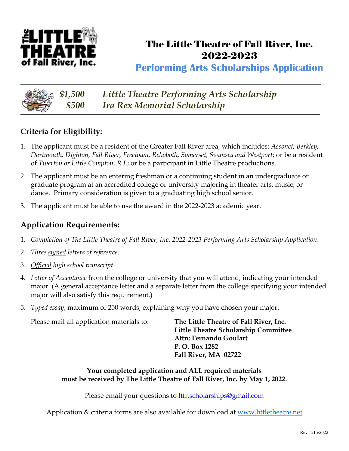

## The Little Theatre of Fall River, Inc. 2022-2023

**Performing Arts Scholarships Application**



*\$1,500 Little Theatre Performing Arts Scholarship \$500 Ira Rex Memorial Scholarship*

### **Criteria for Eligibility:**

- 1. The applicant must be a resident of the Greater Fall River area, which includes: *Assonet, Berkley, Dartmouth, Dighton, Fall River, Freetown, Rehoboth, Somerset, Swansea and Westport*; or be a resident of *Tiverton or Little Compton, R.I*.; or be a participant in Little Theatre productions.
- 2. The applicant must be an entering freshman or a continuing student in an undergraduate or graduate program at an accredited college or university majoring in theater arts, music, or dance. Primary consideration is given to a graduating high school senior.
- 3. The applicant must be able to use the award in the 2022-2023 academic year.

#### **Application Requirements:**

- 1. *Completion of The Little Theatre of Fall River, Inc. 2022-2023 Performing Arts Scholarship Application*.
- 2. *Three signed letters of reference*.
- 3. *Official high school transcript*.
- 4. *Letter of Acceptance* from the college or university that you will attend, indicating your intended major. (A general acceptance letter and a separate letter from the college specifying your intended major will also satisfy this requirement.)
- 5. *Typed essay*, maximum of 250 words, explaining why you have chosen your major.

| Please mail all application materials to: | The Little Theatre of Fall River, Inc. |  |
|-------------------------------------------|----------------------------------------|--|
|                                           | Little Theatre Scholarship Committee   |  |
|                                           | Attn: Fernando Goulart                 |  |
|                                           | P. O. Box 1282                         |  |
|                                           | Fall River, MA 02722                   |  |
|                                           |                                        |  |

#### **Your completed application and ALL required materials must be received by The Little Theatre of Fall River, Inc. by May 1, 2022.**

Please email your questions to [ltfr.scholarships@gmail.com](mailto:ltfr.scholarships@gmail.com)

Application & criteria forms are also available for download at www.littletheatre.net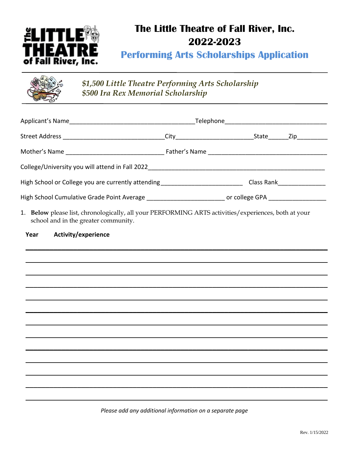

# The Little Theatre of Fall River, Inc. 2022-2023

**Performing Arts Scholarships Application** 

| $\begin{picture}(20,10) \put(0,0){\line(1,0){15}} \put(15,0){\line(1,0){15}} \put(15,0){\line(1,0){15}} \put(15,0){\line(1,0){15}} \put(15,0){\line(1,0){15}} \put(15,0){\line(1,0){15}} \put(15,0){\line(1,0){15}} \put(15,0){\line(1,0){15}} \put(15,0){\line(1,0){15}} \put(15,0){\line(1,0){15}} \put(15,0){\line(1,0){15}} \put(15,0){\line(1$ | \$1,500 Little Theatre Performing Arts Scholarship<br>\$500 Ira Rex Memorial Scholarship |
|-----------------------------------------------------------------------------------------------------------------------------------------------------------------------------------------------------------------------------------------------------------------------------------------------------------------------------------------------------|------------------------------------------------------------------------------------------|
|                                                                                                                                                                                                                                                                                                                                                     |                                                                                          |

| High School or College you are currently attending _______________________________Class Rank__________________                               |  |  |
|----------------------------------------------------------------------------------------------------------------------------------------------|--|--|
| High School Cumulative Grade Point Average _____________________________ or college GPA _____________________                                |  |  |
| 1. Below please list, chronologically, all your PERFORMING ARTS activities/experiences, both at your<br>school and in the greater community. |  |  |
| Activity/experience<br>Year                                                                                                                  |  |  |
|                                                                                                                                              |  |  |
|                                                                                                                                              |  |  |
|                                                                                                                                              |  |  |
|                                                                                                                                              |  |  |
|                                                                                                                                              |  |  |
|                                                                                                                                              |  |  |
|                                                                                                                                              |  |  |
|                                                                                                                                              |  |  |
|                                                                                                                                              |  |  |
|                                                                                                                                              |  |  |
|                                                                                                                                              |  |  |
|                                                                                                                                              |  |  |

Please add any additional information on a separate page